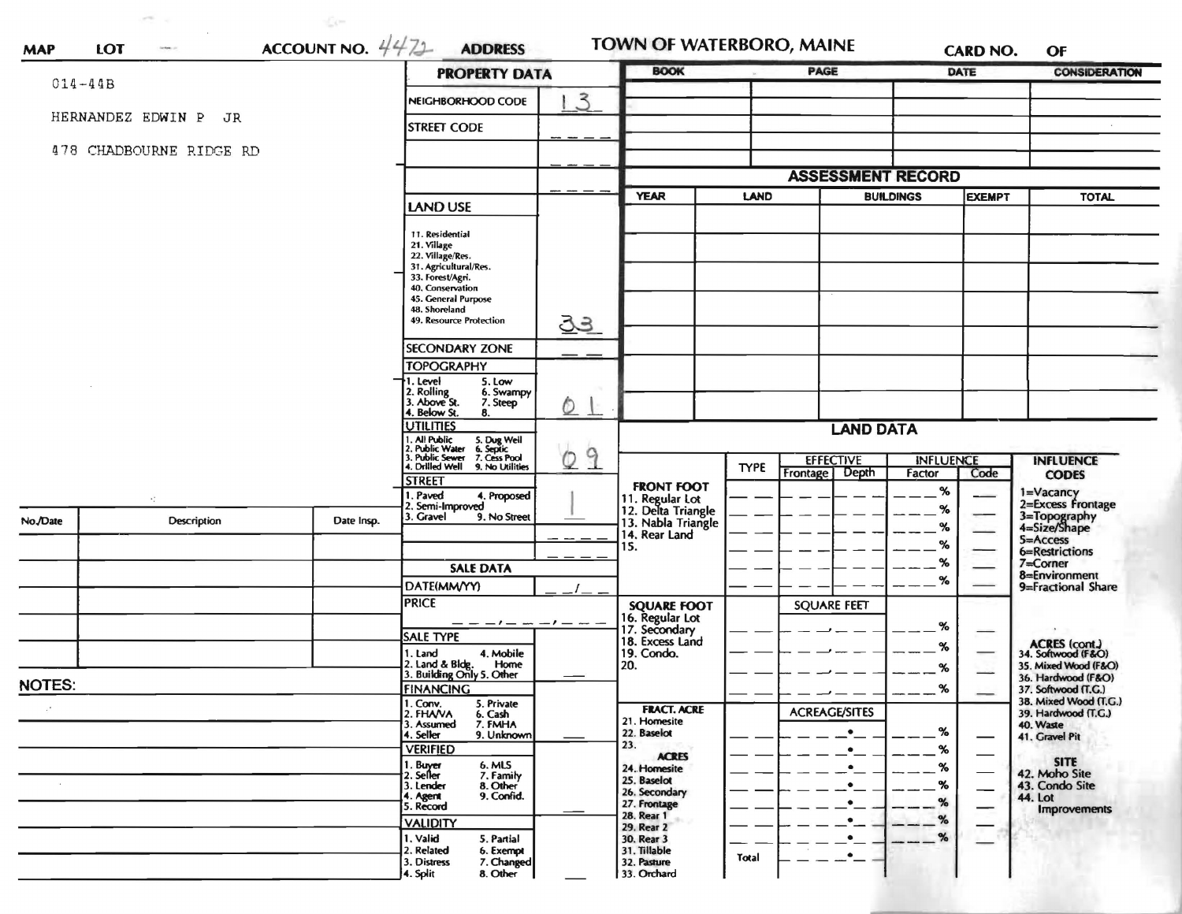|               |                         |                                                                                                                                                        | <b>PROPERTY DATA</b>                                         |                                    | <b>BOOK</b>                                                 |                      | <b>PAGE</b>                                 |                            | DATE                | <b>CONSIDERATION</b>                            |
|---------------|-------------------------|--------------------------------------------------------------------------------------------------------------------------------------------------------|--------------------------------------------------------------|------------------------------------|-------------------------------------------------------------|----------------------|---------------------------------------------|----------------------------|---------------------|-------------------------------------------------|
| $014 - 44B$   |                         |                                                                                                                                                        | NEIGHBORHOOD CODE                                            | 3                                  |                                                             |                      |                                             |                            |                     |                                                 |
|               | HERNANDEZ EDWIN P JR    |                                                                                                                                                        | <b>STREET CODE</b>                                           |                                    |                                                             |                      |                                             |                            |                     |                                                 |
|               | 478 CHADBOURNE RIDGE RD |                                                                                                                                                        |                                                              |                                    |                                                             |                      |                                             |                            |                     |                                                 |
|               |                         |                                                                                                                                                        |                                                              |                                    |                                                             |                      | <b>ASSESSMENT RECORD</b>                    |                            |                     |                                                 |
|               |                         |                                                                                                                                                        |                                                              |                                    | <b>YEAR</b><br>LAND                                         |                      |                                             | <b>BUILDINGS</b>           |                     | <b>TOTAL</b>                                    |
|               |                         |                                                                                                                                                        | <b>LAND USE</b>                                              |                                    |                                                             |                      |                                             |                            | <b>EXEMPT</b>       |                                                 |
|               |                         |                                                                                                                                                        | 11. Residential                                              |                                    |                                                             |                      |                                             |                            |                     |                                                 |
|               |                         |                                                                                                                                                        | 21. Village<br>22. Village/Res.                              |                                    |                                                             |                      |                                             |                            |                     |                                                 |
|               |                         |                                                                                                                                                        | 31. Agricultural/Res.<br>33. Forest/Agri.                    |                                    |                                                             |                      |                                             |                            |                     |                                                 |
|               |                         |                                                                                                                                                        | 40. Conservation<br>45. General Purpose                      |                                    |                                                             |                      |                                             |                            |                     |                                                 |
|               |                         |                                                                                                                                                        | 48. Shoreland<br>49. Resource Protection                     | <u>उउ</u>                          |                                                             |                      |                                             |                            |                     |                                                 |
|               |                         |                                                                                                                                                        | <b>SECONDARY ZONE</b>                                        |                                    |                                                             |                      |                                             |                            |                     |                                                 |
|               |                         |                                                                                                                                                        | <b>TOPOGRAPHY</b>                                            |                                    |                                                             |                      |                                             |                            |                     |                                                 |
|               |                         |                                                                                                                                                        | 1. Level<br>5. Low<br>6. Swampy                              |                                    |                                                             |                      |                                             |                            |                     |                                                 |
|               |                         |                                                                                                                                                        | 2. Rolling<br>3. Above St.<br>7. Steep<br>4. Below St.<br>8. | O.                                 |                                                             |                      |                                             |                            |                     |                                                 |
|               |                         | <b>UTILITIES</b>                                                                                                                                       |                                                              | <b>LAND DATA</b>                   |                                                             |                      |                                             |                            |                     |                                                 |
|               |                         | 1. All Public 5. Dug Well<br>1. All Public S. Dug Well<br>2. Public Water 6. Septic<br>3. Public Sewer 7. Cess Pool<br>4. Drilled Well 9. No Utilities |                                                              |                                    |                                                             |                      |                                             |                            |                     |                                                 |
|               |                         |                                                                                                                                                        |                                                              | 9<br>$\circ$                       |                                                             | <b>TYPE</b>          | <b>EFFECTIVE</b><br>Depth<br>Frontage       | <b>INFLUENCE</b><br>Factor | Code                | <b>INFLUENCE</b><br><b>CODES</b>                |
|               |                         |                                                                                                                                                        | <b>STREET</b><br>1. Paved<br>4. Proposed                     |                                    | <b>FRONT FOOT</b>                                           |                      |                                             | %                          |                     |                                                 |
|               |                         |                                                                                                                                                        | 2. Semi-Improved<br>3. Gravel<br>9. No Street                |                                    | 11. Regular Lot<br>12. Delta Triangle<br>13. Nabla Triangle |                      |                                             | %                          |                     | 1=Vacancy<br>2=Excess Frontage                  |
| No./Date      | Description             | Date Insp.                                                                                                                                             |                                                              | $\sim$ $ \cdot$                    | 14. Rear Land                                               |                      |                                             | %                          |                     | 3=Topography<br>4=Size/Shape<br><b>S=Access</b> |
|               |                         |                                                                                                                                                        |                                                              |                                    | 15.                                                         |                      |                                             | %                          |                     | 6=Restrictions                                  |
|               |                         |                                                                                                                                                        | <b>SALE DATA</b>                                             |                                    |                                                             |                      |                                             | %                          |                     | 7=Corner<br>8=Environment                       |
|               |                         |                                                                                                                                                        | DATE(MM/YY)                                                  |                                    |                                                             |                      |                                             | %                          |                     | 9=Fractional Share                              |
|               |                         |                                                                                                                                                        | <b>PRICE</b>                                                 |                                    | <b>SQUARE FOOT</b>                                          |                      | <b>SQUARE FEET</b>                          |                            |                     |                                                 |
|               |                         |                                                                                                                                                        | — — — / — — — / — <i>—</i> —<br><b>SALE TYPE</b>             |                                    | 16. Regular Lot<br>17. Secondary<br>18. Excess Land         |                      |                                             | %                          |                     |                                                 |
|               |                         |                                                                                                                                                        | 1. Land<br>4. Mobile                                         |                                    | 19. Condo.                                                  |                      |                                             | %                          |                     | ACRES (cont.)<br>34. Softwood (F&O)             |
|               |                         |                                                                                                                                                        | 2. Land & Bldg. Home<br>3. Building Only 5. Other<br>Home    |                                    | 20.                                                         |                      |                                             | %                          |                     | 35. Mixed Wood (F&O)<br>36. Hardwood (F&O)      |
| <b>NOTES:</b> |                         |                                                                                                                                                        | <b>FINANCING</b>                                             |                                    |                                                             |                      |                                             | %                          |                     | 37. Softwood (T.G.)<br>38. Mixed Wood (T.G.)    |
|               |                         | 1. Conv.<br>2. FHA/VA<br>5. Private<br>6. Cash                                                                                                         |                                                              | <b>FRACT. ACRE</b><br>21. Homesite |                                                             | <b>ACREAGE/SITES</b> |                                             |                            | 39. Hardwood (T.G.) |                                                 |
|               |                         |                                                                                                                                                        | 3. Assumed<br>7. FMHA<br>4. Seller<br>9. Unknown             |                                    | 22. Baselot                                                 |                      | $\bullet$                                   | %                          |                     | 40. Waste<br>41. Gravel Pit                     |
|               |                         |                                                                                                                                                        | <b>VERIFIED</b>                                              |                                    | 23.<br><b>ACRES</b>                                         |                      | ٠                                           | %                          |                     |                                                 |
|               |                         |                                                                                                                                                        | 6. MLS<br>1. Buyer<br>2. Seller<br>7. Family                 |                                    | 24. Homesite<br>25. Baselot                                 |                      | $\bullet$                                   | $\%$                       |                     | <b>SITE</b><br>42. Moho Site                    |
|               |                         |                                                                                                                                                        | 8. Other<br>3. Lender<br>9. Confid.<br>4. Agent              |                                    | 26. Secondary                                               |                      | $\bullet$                                   | %                          |                     | 43. Condo Site<br>44. Lot                       |
|               |                         |                                                                                                                                                        | 5. Record                                                    |                                    | 27. Frontage<br>28. Rear 1                                  |                      | $\bullet$                                   | $\%$                       |                     | <b>Improvements</b>                             |
|               |                         |                                                                                                                                                        | <b>VALIDITY</b><br>1. Valid<br>5. Partial                    |                                    | 29. Rear 2<br>30. Rear 3                                    |                      | $\cdot$<br>$\cdot$ $\overline{\phantom{a}}$ | %                          |                     |                                                 |
|               |                         |                                                                                                                                                        | 2. Related<br>6. Exempt                                      |                                    | 31. Tillable                                                | Total                | $\cdot$ $-$                                 |                            |                     |                                                 |
|               |                         |                                                                                                                                                        | 7. Changed<br>3. Distress<br>8. Other<br>4. Split            |                                    | 32. Pasture<br>33. Orchard                                  |                      |                                             |                            |                     |                                                 |